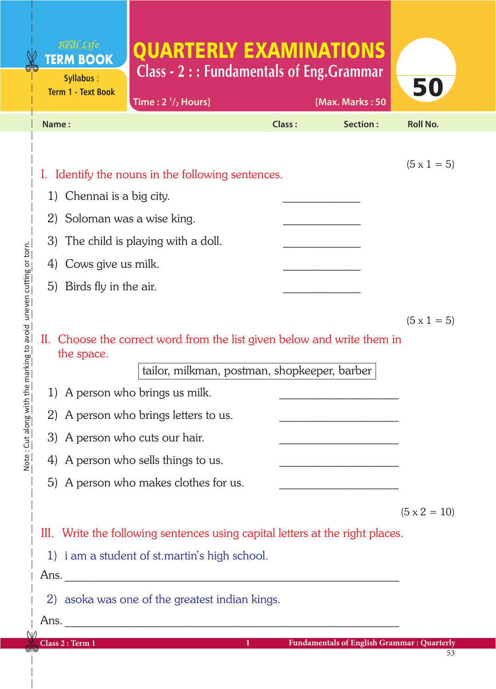## QUARTERLY EXAMINATIONS **Class - 2 : : Fundamentals of Eng.Grammar**

| <b>Term 1 - Text Book</b>    | Time: $2 \frac{1}{2}$ Hours]                                                                                                                            |                     | [Max. Marks: 50                                   | JU                  |
|------------------------------|---------------------------------------------------------------------------------------------------------------------------------------------------------|---------------------|---------------------------------------------------|---------------------|
| Name:                        |                                                                                                                                                         | Class:              | Section:                                          | <b>Roll No.</b>     |
|                              |                                                                                                                                                         |                     |                                                   |                     |
|                              | I. Identify the nouns in the following sentences.                                                                                                       |                     |                                                   | $(5 \times 1 = 5)$  |
| Chennai is a big city.<br>1) |                                                                                                                                                         |                     |                                                   |                     |
| 2) Soloman was a wise king.  |                                                                                                                                                         |                     |                                                   |                     |
|                              | 3) The child is playing with a doll.                                                                                                                    |                     |                                                   |                     |
| Cows give us milk.<br>4)     |                                                                                                                                                         |                     |                                                   |                     |
| Birds fly in the air.<br>5)  |                                                                                                                                                         |                     |                                                   |                     |
|                              |                                                                                                                                                         |                     |                                                   |                     |
| the space.<br>1)             | II. Choose the correct word from the list given below and write them in<br>tailor, milkman, postman, shopkeeper, barber<br>A person who brings us milk. |                     |                                                   | $(5 \times 1 = 5)$  |
| 2)                           | A person who brings letters to us.                                                                                                                      |                     |                                                   |                     |
| 3)                           | A person who cuts our hair.                                                                                                                             |                     |                                                   |                     |
| 4)                           | A person who sells things to us.                                                                                                                        |                     |                                                   |                     |
|                              | 5) A person who makes clothes for us.                                                                                                                   |                     |                                                   |                     |
|                              |                                                                                                                                                         |                     |                                                   | $(5 \times 2 = 10)$ |
|                              | III. Write the following sentences using capital letters at the right places.                                                                           |                     |                                                   |                     |
|                              | 1) i am a student of st.martin's high school.                                                                                                           |                     |                                                   |                     |
|                              |                                                                                                                                                         |                     |                                                   |                     |
|                              | 2) asoka was one of the greatest indian kings.                                                                                                          |                     |                                                   |                     |
|                              |                                                                                                                                                         |                     |                                                   |                     |
| Class 2 : Term 1             |                                                                                                                                                         | $1$ and $1$ and $1$ | <b>Fundamentals of English Grammar: Quarterly</b> |                     |

**Syllabus** :

Real Life **TERM BOOK** 

53

50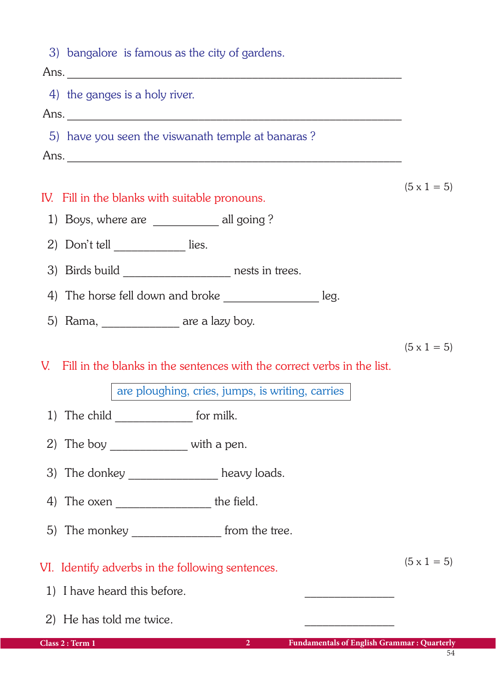| 3) bangalore is famous as the city of gardens.                                          |                    |
|-----------------------------------------------------------------------------------------|--------------------|
| 4) the ganges is a holy river.                                                          |                    |
|                                                                                         |                    |
| 5) have you seen the viswanath temple at banaras?                                       |                    |
|                                                                                         |                    |
| IV. Fill in the blanks with suitable pronouns.                                          | $(5 \times 1 = 5)$ |
| 1) Boys, where are _____________ all going ?                                            |                    |
| 2) Don't tell ___________ lies.                                                         |                    |
| 3) Birds build ___________________ nests in trees.                                      |                    |
| 4) The horse fell down and broke _______________________ leg.                           |                    |
| 5) Rama, _______________ are a lazy boy.                                                |                    |
|                                                                                         | $(5 \times 1 = 5)$ |
| V. Fill in the blanks in the sentences with the correct verbs in the list.              |                    |
| are ploughing, cries, jumps, is writing, carries                                        |                    |
| 1) The child _______________ for milk.                                                  |                    |
| 2) The boy $\frac{1}{2}$ with a pen.                                                    |                    |
| 3) The donkey _______________ heavy loads.                                              |                    |
|                                                                                         |                    |
| 5) The monkey __________________ from the tree.                                         |                    |
| VI. Identify adverbs in the following sentences.                                        | $(5 \times 1 = 5)$ |
| 1) I have heard this before.                                                            |                    |
|                                                                                         |                    |
| 2) He has told me twice.                                                                |                    |
| <b>Fundamentals of English Grammar: Quarterly</b><br>Class 2 : Term 1<br>$\overline{2}$ | 54                 |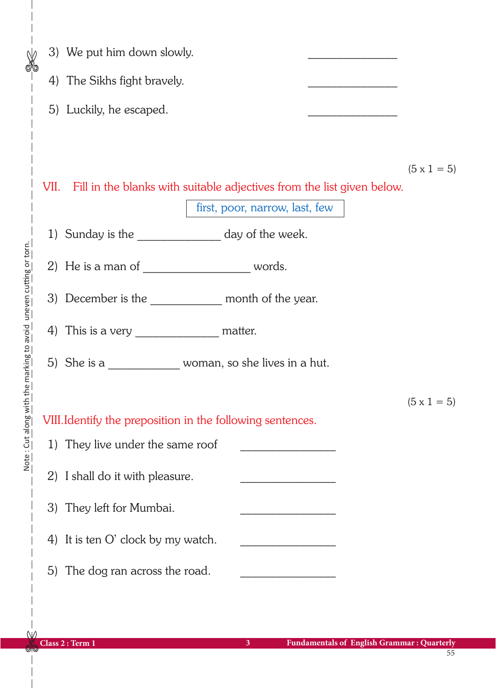|  | 3) We put him down slowly.                                                                                    |                    |  |  |  |
|--|---------------------------------------------------------------------------------------------------------------|--------------------|--|--|--|
|  | 4) The Sikhs fight bravely.                                                                                   |                    |  |  |  |
|  | 5) Luckily, he escaped.                                                                                       |                    |  |  |  |
|  |                                                                                                               |                    |  |  |  |
|  |                                                                                                               | $(5 \times 1 = 5)$ |  |  |  |
|  | VII. Fill in the blanks with suitable adjectives from the list given below.<br>first, poor, narrow, last, few |                    |  |  |  |
|  | 1) Sunday is the __________________ day of the week.                                                          |                    |  |  |  |
|  |                                                                                                               |                    |  |  |  |
|  | 3) December is the _____________ month of the year.                                                           |                    |  |  |  |
|  |                                                                                                               |                    |  |  |  |
|  | 5) She is a ________________ woman, so she lives in a hut.                                                    |                    |  |  |  |
|  |                                                                                                               | $(5 \times 1 = 5)$ |  |  |  |
|  | VIII. Identify the preposition in the following sentences.                                                    |                    |  |  |  |
|  | 1) They live under the same roof<br>$\overline{a}$ . The contract of the contract of $\overline{a}$           |                    |  |  |  |
|  | 2) I shall do it with pleasure.<br><u> 1980 - Johann Barbara, martin a</u>                                    |                    |  |  |  |
|  | 3) They left for Mumbai.                                                                                      |                    |  |  |  |
|  | 4) It is ten O' clock by my watch.                                                                            |                    |  |  |  |
|  | 5) The dog ran across the road.                                                                               |                    |  |  |  |
|  |                                                                                                               |                    |  |  |  |

 $\frac{1}{\sqrt{2}}$